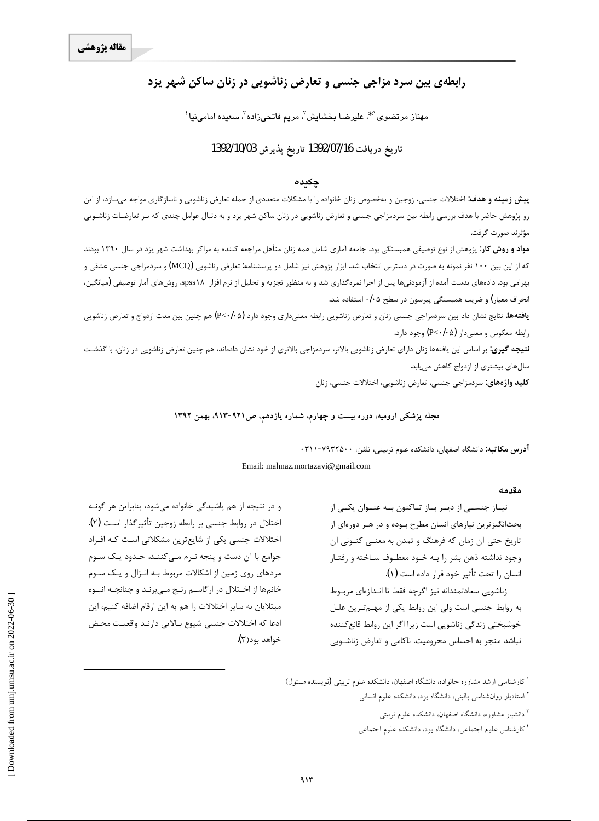# رابطهی بین سرد مزاجی جنسی و تعارض زناشویی در زنان ساکن شهر یزد

مهناز مرتضوي<sup>۶</sup>\*، عليرضا بخشايش<sup>7</sup>، مريم فاتحىزاده<sup>7</sup>، سعيده امامىنيا<sup>؛</sup>

## تاريخ دريافت 1392/07/16 تاريخ يذيرش 1392/10/03

### چکیدہ

**پیش زمینه و هدف:** اختلالات جنسی، زوجین و بهخصوص زنان خانواده را با مشکلات متعددی از جمله تعارض زناشویی و ناسازگاری مواجه میسازد، از این رو پژوهش حاضر با هدف بررسی رابطه بین سردمزاجی جنسی و تعارض زناشویی در زنان ساکن شهر یزد و به دنبال عوامل چندی که بـر تعارضـات زناشـویی مؤثرند صورت گرفت.

**مواد و روش کار**: پژوهش از نوع توصیفی همبستگی بود. جامعه آماری شامل همه زنان متأهل مراجعه کننده به مراکز بهداشت شهر یزد در سال ۱۳۹۰ بودند که از این بین ۱۰۰ نفر نمونه به صورت در دسترس انتخاب شد. ابزار پژوهش نیز شامل دو پرسشنامه: تعارض زناشویی (MCQ) و سردمزاجی جنسی عشقی و بهرامی بود. دادههای بدست آمده از آزمودنیها پس از اجرا نمرهگذاری شد و به منظور تجزیه و تحلیل از نرم افزار spss۱۸، روشهای آمار توصیفی (میانگین، انحراف معیار) و ضریب همبستگی پیرسون در سطح ۰/۰۵ استفاده شد.

**یافتهها:** نتایج نشان داد بین سردمزاجی جنسی زنان و تعارض زناشویی رابطه معنیداری وجود دارد (P<۰/۰۵) هم چنین بین مدت ازدواج و تعارض زناشویی رابطه معکوس و معنیدار (P<٠/٠۵) وجود دارد.

**نتیجه گیری**: بر اساس این یافتهها زنان دارای تعارض زناشویی بالاتر، سردمزاجی بالاتری از خود نشان دادهاند، هم چنین تعارض زناشویی در زنان، با گذشت سالهای بیشتری از ازدواج کاهش می یابد.

**کلید واژههای:** سردمزاجی جنسی، تعارض زناشویی، اختلالات جنسی، زنان

### مجله پزشکی ارومیه، دوره بیست و چهارم، شماره یازدهم، ص1۲۱-۹۲۳، بهمن ۱۳۹۲

آ**درس مكاتبه**: دانشگاه اصفهان، دانشكده علوم تربيتي، تلفن: ٧٩٣٢٥٠٠-٣١١٠

Email: mahnaz.mortazavi@gmail.com

#### مقدمه

نیاز جنسـی از دیـر بـاز تـاکنون بـه عنـوان یکـی از بحثانگیزترین نیازهای انسان مطرح بـوده و در هـر دورهای از تاریخ حتی آن زمان که فرهنگ و تمدن به معنـی کنـونی آن وجود نداشته ذهن بشر را بـه خـود معطـوف سـاخته و رفتـار انسان را تحت تأثير خود قرار داده است (١).

زناشويي سعادتمندانه نيز اگرچه فقط تا انـدازهاي مربــوط به روابط جنسی است ولی این روابط یکی از مهـمتـرین علـل خوشبختی زندگی زناشویی است زیرا اگر این روابط قانع کننده نباشد منجر به احساس محرومیت، ناکامی و تعارض زناشـویی

و در نتیجه از هم پاشیدگی خانواده میشود، بنابراین هر گونـه اختلال در روابط جنسی بر رابطه زوجین تأثیرگذار است (۲). اختلالات جنسی یکی از شایع ترین مشکلاتی است کـه افـراد جوامع با آن دست و پنجه نـرم مـیکننـد. حـدود یـک سـوم مردهای روی زمین از اشکالات مربوط بـه انـزال و یـک سـوم خانمها از اخـتلال در ارگاسـم رنـج مـىبرنـد و چنانچـه انبــوه مبتلایان به سایر اختلالات را هم به این ارقام اضافه کنیم، این ادعا كه اختلالات جنسي شيوع بـالايي دارنـد واقعيـت محـض خواهد بود(۳).

<sup>ا</sup> کارشناسی ارشد مشاوره خانواده، دانشگاه اصفهان، دانشکده علوم تربیتی (نویسنده مسئول)

- <sup>۲</sup> استادیار روانشناسی بالینی، دانشگاه یزد، دانشکده علوم انسانی
	- <sup>۲</sup> دانشیار مشاوره، دانشگاه اصفهان، دانشکده علوم تربیتی
	- <sup>،</sup> کارشناس علوم اجتماعی، دانشگاه یزد، دانشکده علوم اجتماعی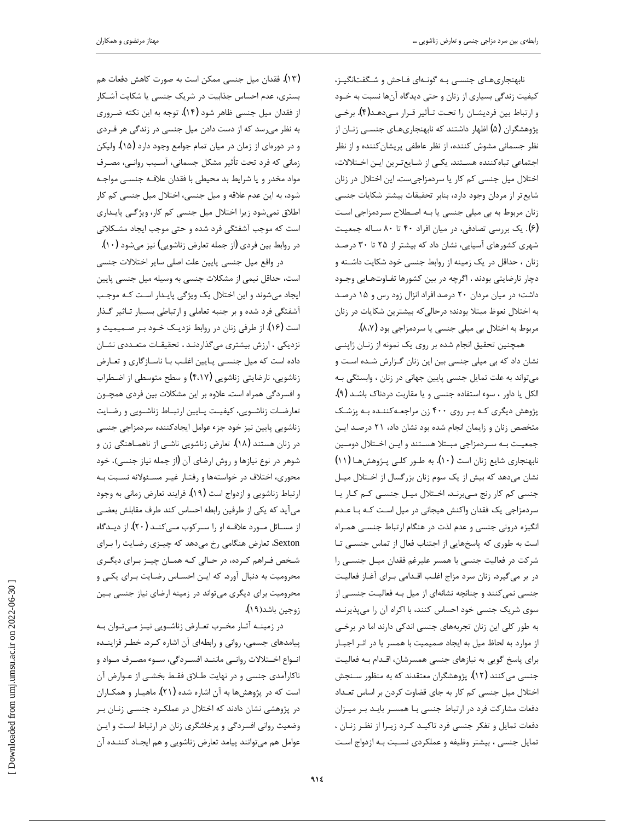نابهنجاریهای جنسی به گونهای فاحش و شگفتانگیـز، کیفیت زندگی بسیاری از زنان و حتی دیدگاه آنها نسبت به خـود و ارتباط بين فرديشان را تحت تـأثير قـرار مـىدهـد(۴). برخـى پژوهشگران (۵) اظهار داشتند که نابهنجاریهـای جنســی زنــان از نظر جسمانی مشوش کننده، از نظر عاطفی پریشان کننده و از نظر اجتماعی تباه کننده هستند. یکے از شـایع تـرین ایـن اخـتلالات، اختلال میل جنسی کم کار یا سردمزاجی ست. این اختلال در زنان شايع تر از مردان وجود دارد، بنابر تحقيقات بيشتر شكايات جنسى زنان مربوط به بی میلی جنسی یا به اصطلاح سردمزاجی است (۶). یک بررسی تصادفی، در میان افراد ۴۰ تا ۸۰ سـاله جمعیـت شهری کشورهای آسیایی، نشان داد که بیشتر از ۲۵ تا ۳۰ درصد زنان ، حداقل در یک زمینه از روابط جنسی خود شکایت داشته و دچار نارضایتی بودند . اگرچه در بین کشورها تفـاوتهـایی وجـود داشت؛ در میان مردان ٢٠ درصد افراد انزال زود رس و ١٥ درصد به اختلال نعوظ مبتلا بودند؛ درحالی که بیشترین شکایات در زنان مربوط به اختلال بي ميلي جنسي يا سردمزاجي بود (٨،٧).

همچنین تحقیق انجام شده بر روی یک نمونه از زنـان ژاپنــی نشان داد که بی میلی جنسی بین این زنان گـزارش شـده اسـت و میتواند به علت تمایل جنسی پایین جهانی در زنان ، وابستگی بـه الكل يا داور ، سوء استفاده جنسي و يا مقاربت دردناک باشـد (۹). پژوهش دیگری کـه بـر روی ۴۰۰ زن مراجعـهکننـده بـه پزشـک متخصص زنان و زایمان انجام شده بود نشان داد، ۲۱ درصـد ایـن جمعیت به سردمزاجی مبتلا هستند و این اختلال دومین نابهنجاری شایع زنان است (۱۰). به طــور کلــی پــژوهش۱۱) (۱۱) نشان میدهد که بیش از یک سوم زنان بزرگسال از اختلال میل جنسی کم کار رنج میبرند. اختلال میل جنسی کم کار یا سردمزاجی یک فقدان واکنش هیجانی در میل است کـه بـا عـدم انگیزه درونی جنسی و عدم لذت در هنگام ارتباط جنسـی همـراه است به طوری که پاسخهایی از اجتناب فعال از تماس جنســی تـا شرکت در فعالیت جنسی با همسر علیرغم فقدان میـل جنسـی را در بر میگیرد. زنان سرد مزاج اغلب اقـدامی بـرای آغـاز فعالیـت جنسی نمی کنند و چنانچه نشانهای از میل بـه فعالیـت جنسـی از سوی شریک جنسی خود احساس کنند، با اکراه آن را میپذیرنـد. به طور کلی این زنان تجربههای جنسی اندکی دارند اما در برخی از موارد به لحاظ میل به ایجاد صمیمیت با همسر یا در اثـر اجبـار برای پاسخ گویی به نیازهای جنسی همسرشان، اقـدام بـه فعالیـت جنسی می کنند (۱۲). پژوهشگران معتقدند که به منظور سـنجش اختلال میل جنسی کم کار به جای قضاوت کردن بر اساس تعداد دفعات مشارکت فرد در ارتباط جنسی با همسـر بایـد بـر میـزان دفعات تمایل و تفکر جنسی فرد تاکید کرد زیرا از نظر زنان ، تمایل جنسی ، بیشتر وظیفه و عملکردی نسـبت بـه ازدواج اسـت

(١٣). فقدان ميل جنسي ممكن است به صورت كاهش دفعات هم بستری، عدم احساس جذابیت در شریک جنسی یا شکایت آشـکار از فقدان میل جنسی ظاهر شود (۱۴). توجه به این نکته ضـروری به نظر می رسد که از دست دادن میل جنسی در زندگی هر فردی و در دورهای از زمان در میان تمام جوامع وجود دارد (۱۵). ولیکن زمانی که فرد تحت تأثیر مشکل جسمانی، آسـیب روانـی، مصـرف مواد مخدر و یا شرایط بد محیطی با فقدان علاقــه جنســی مواجـه شود، به این عدم علاقه و میل جنسی، اختلال میل جنسی کم کار اطلاق نمیشود زیرا اختلال میل جنسی کم کار، ویژگـی پایـداری است که موجب آشفتگی فرد شده و حتی موجب ایجاد مشـکلاتی در روابط بين فردي (از جمله تعارض زناشويي) نيز ميشود (١٠).

در واقع میل جنسی پایین علت اصلی سایر اختلالات جنسی است، حداقل نیمی از مشکلات جنسی به وسیله میل جنسی پایین ایجاد میشوند و این اختلال یک ویژگی پایـدار اسـت کـه موجـب آشفتگی فرد شده و بر جنبه تعاملی و ارتباطی بسیار تاثیر گذار است (۱۶). از طرفی زنان در روابط نزدیـک خـود بـر صـمیمیت و نزدیکی ، ارزش بیشتری میگذاردنـد . تحقیقـات متعـددی نشـان داده است که میل جنسـی پـایین اغلـب بـا ناسـازگاری و تعـارض زناشویی، نارضایتی زناشویی (۴،۱۷) و سطح متوسطی از اضطراب و افسردگی همراه است. علاوه بر این مشکلات بین فردی همچــون تعارضـات زناشـويي، كيفيـت پـايين ارتبـاط زناشـويي و رضـايت زناشويي پايين نيز خود جزء عوامل ايجادكننده سردمزاجي جنسي در زنان هستند (۱۸). تعارض زناشویی ناشـی از ناهمـاهنگی زن و شوهر در نوع نیازها و روش ارضای آن (از جمله نیاز جنسی)، خود محوری، اختلاف در خواستهها و رفتـار غيـر مسـئولانه نسـبت بـه ارتباط زناشويي و ازدواج است (١٩). فرايند تعارض زماني به وجود می آید که یکی از طرفین رابطه احساس کند طرف مقابلش بعضی از مسـائل مـورد علاقــه او را ســركوب مــىكنــد (٢٠). از ديــدگاه Sexton، تعارض هنگامی رخ می دهد که چیـزی رضـایت را بـرای شخص فـراهم کـرده، در حـالی کـه همـان چيـز بـرای ديگـری محرومیت به دنبال آورد. که ایـن احسـاس رضـایت بـرای یکـی و محرومیت برای دیگری می تواند در زمینه ارضای نیاز جنسی بین زوجين باشد(١٩).

در زمینـه آثـار مخـرب تعـارض زناشـویی نیـز مـیتـوان بـه پیامدهای جسمی، روانی و رابطهای آن اشاره کـرد. خطـر فزاینـده انــواع اخــتلالات روانــي ماننــد افســردگي، ســو، مصــرف مــواد و ناکارآمدی جنسی و در نهایت طلاق فقط بخشـی از عـوارض آن است که در پژوهشها به آن اشاره شده (۲۱). ماهیـار و همکـاران در پژوهشی نشان دادند که اختلال در عملکـرد جنسـی زنـان بـر وضعیت روانی افسردگی و پرخاشگری زنان در ارتباط است و این عوامل هم میتوانند پیامد تعارض زناشویی و هم ایجـاد کننـده آن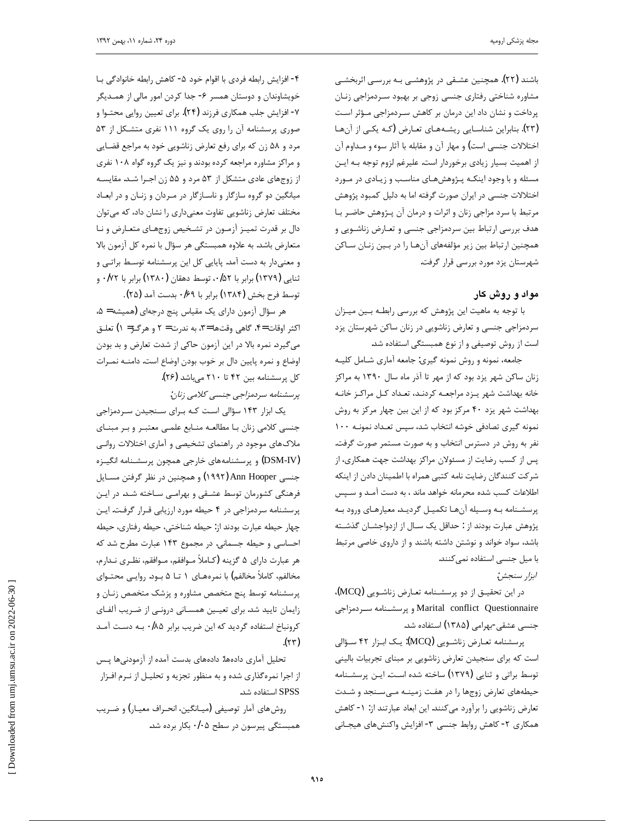باشند (۲۲). همچنین عشـقی در پژوهشـی بـه بررسـی اثربخشـی مشاوره شناختی رفتاری جنسی زوجی بر بهبود سـردمزاجی زنـان پرداخت و نشان داد این درمان بر کاهش سردمزاجی مؤثر است (۲۳). بنابراین شناسـایی ریشـههـای تعـارض (کـه یکـی از آنهـا اختلالات جنسی است) و مهار آن و مقابله با آثار سوء و مـداوم آن از اهميت بسيار زيادى برخوردار است. عليرغم لزوم توجه بـه ايـن مسئله و با وجود اینکـه پـژوهشهـای مناسـب و زیـادی در مـورد اختلالات جنسی در ایران صورت گرفته اما به دلیل کمبود پژوهش مرتبط با سرد مزاجی زنان و اثرات و درمان آن پـژوهش حاضـر بـا هدف بررسی ارتباط بین سردمزاجی جنسی و تعـارض زناشـویی و همچنین ارتباط بین زیر مؤلفههای آنهـا را در بـین زنـان سـاکن شهرستان يزد مورد بررسي قرار گرفت.

 $\overline{a}$ 

### **مواد و روش کار**

با توجه به ماهيت اين پژوهش كه بررسي رابطـه بـين ميـزان سردمزاجی جنسی و تعارض زناشویی در زنان ساکن شهرستان یزد است از روش توصیفی و از نوع همبستگی استفاده شد.

جامعه، نمونه و روش نمونه گیری: جامعه آماری شـامل کلیـه زنان ساکن شهر یزد بود که از مهر تا آذر ماه سال ۱۳۹۰ به مراکز خانه بهداشت شهر يـزد مراجعـه كردنـد، تعـداد كـل مراكـز خانـه بهداشت شهر یزد ۴۰ مرکز بود که از این بین چهار مرکز به روش نمونه گیری تصادفی خوشه انتخاب شد، سپس تعـداد نمونـه ۱۰۰ نفر به روش در دسترس انتخاب و به صورت مستمر صورت گرفت. پس از کسب رضایت از مسئولان مراکز بهداشت جهت همکاری، از شركت كنندگان رضايت نامه كتبي همراه با اطمينان دادن از اينكه اطلاعات كسب شده محرمانه خواهد ماند ، به دست آمـد و سـپس پرسشـنامه بـه وسـيله أنهـا تكميـل گرديـد. معيارهـاي ورود بـه پژوهش عبارت بودند از : حداقل یک سـال از ازدواجشـان گذشـته باشد، سواد خواند و نوشتن داشته باشند و از داروی خاصی مرتبط با میل جنسی استفاده نمی کنند.

### ابزار سنجش:

در این تحقیـق از دو پرسشـنامه تعـارض زناشـویی (MCQ)، و پرسشـنامه سـردمزاجى Marital conflict Questionnaire جنسی عشقی-بهرامی (۱۳۸۵) استفاده شد.

پرسشنامه تعـارض زناشـویی (MCQ): یـک ابـزار ۴۲ سـؤالی است که برای سنجیدن تعارض زناشویی بر مبنای تجربیات بالینی توسط براتی و ثنایی (۱۳۷۹) ساخته شده است. ایـن پرسشـنامه خیطههای تعارض زوجها را در هفت زمینـه مـیسـنجد و شـدت تعارض زناشويي را برآورد مي كنند. اين ابعاد عبارتند از: ١- كاهش همكاري ٢- كاهش روابط جنسي ٣- افزايش واكنشهاي هيجـاني

 ŚºŝƾĭŵřƺƳŚųƶƐŝřŹƂƷŚĩ -êŵƺųƭřƺƣřŚŝƽŵźƟƶƐŝřŹƂƿřżƟř -é خویشاوندان و دوستان همسر ۶- جدا کردن امور مالی از همـدیگر ۲- افزایش جلب همکاری فرزند (۲۴). برای تعیین روایی محتــوا و صوری پرسشنامه آن را روی یک گروه ۱۱۱ نفری متشکل از ۵۳ مرد و ۵۸ زن که برای رفع تعارض زناشویی خود به مراجع قضایی و مراکز مشاوره مراجعه کرده بودند و نیز یک گروه گواه ۱۰۸ نفری از زوجهای عادی متشکل از ۵۳ مرد و ۵۵ زن اجـرا شـد. مقایسـه میانگین دو گروه سازگار و ناسازگار در مـردان و زنـان و در ابعـاد مختلف تعارض زناشويي تفاوت معنىداري را نشان داد، كه مى توان دال بر قدرت تميـز آزمـون در تشـخيص زوجهـاي متعـارض و نـا متعارض باشد. به علاوه همبستگی هر سؤال با نمره كل آزمون بالا و معنیدار به دست آمد. پایایی کل این پرسشنامه توسط براتی و ننایی (۱۳۷۹) برابر با ۰/۵۲ ، توسط دهقان (۱۳۸۰) برابر با ۰/۷۲ و توسط فرح بخش (۱۳۸۴) برابر با ۰/۶۹ بدست آمد (۲۵).

هر سؤال آزمون داراي يک مقياس پنج درجهاي (هميشه = ۵، اکثر اوقات =۴، گاهي وقتها =۳، به ندرت = ۲ و هرگـز= ۱) تعلـق می گیرد. نمره بالا در این آزمون حاکی از شدت تعارض و بد بودن اوضاع و نمره پایین دال بر خوب بودن اوضاع است. دامنـه نمـرات کل پرسشنامه بین ۴۲ تا ۲۱۰ میباشد (۲۶). يرسشنامه سردمزاجي جنسي كلامي زنان:

یک ابزار ۱۴۳ سؤالی است کـه بـرای سـنجیدن سـردمزاجی جنسی کلامی زنان با مطالعـه منـابع علمـی معتبـر و بـر مبنـای ملاک های موجود در راهنمای تشخیصی و آماری اختلالات روانـی DSM-IV) و پرسشنامههای خارجی همچون پرسشـنامه انگیـزه جنسی Ann Hooper (۱۹۹۲) و همچنین در نظر گرفتن مسـایل فرهنگی کشورمان توسط عشـقی و بهرامـی سـاخته شـد. در ایـن پرسشنامه سردمزاجی در ۴ حیطه مورد ارزیابی قـرار گرفت. ایـن چهار حيطه عبارت بودند از: حيطه شناختي، حيطه الله عبارت آحساسی و حیطه جسمانی. در مجموع ۱۴۳ عبارت مطرح شد که هر عبارت داراي ۵ گزينه (كـاملاً مــوافقم، مــوافقم، نظـري نــدارم، مخالفم، کاملاً مخالفم) با نمرەهـای ١ تــا ۵ بــود. روايــى محتــواي پرسشنامه توسط پنج متخصص مشاوره و پزشک متخصص زنـان و زایمان تایید شد. برای تعیین همسانی درونی از ضریب آلفای کرونباخ استفاده گردید که این ضریب برابر ۰/۸۵ به دست آمد  $(\forall \tau)$ 

تحليل آماري دادەها: دادەهاي بدست آمده از آزمودنيها پـس از اجرا نمره گذاری شده و به منظور تجزیه و تحلیـل از نـرم افـزار استفاده شد. SPSS

روش های آمار توصیفی (میـانگین، انحـراف معیـار) و ضـریب همبستگی پیرسون در سطح ۰/۰۵ بکار برده شد.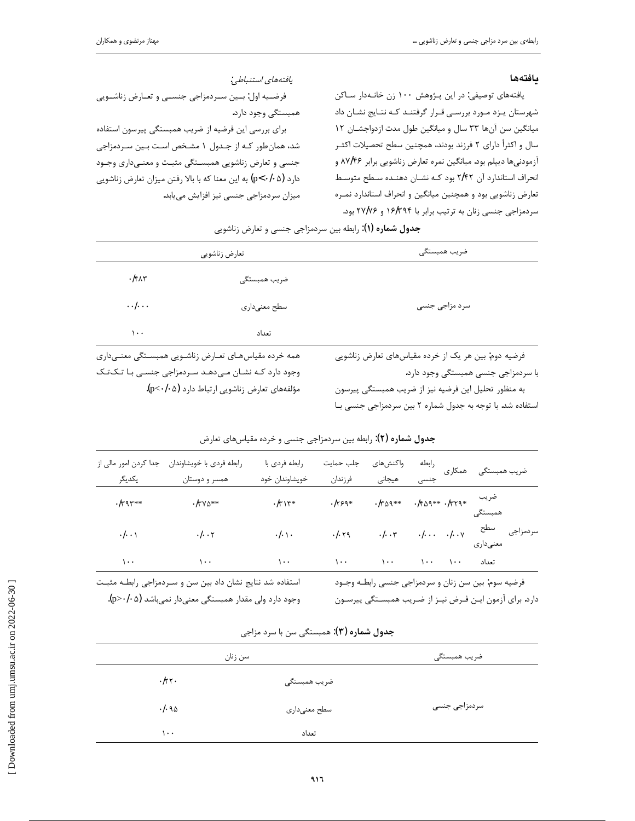#### بافتهها

یافتههای توصیفی: در این پـژوهش ۱۰۰ زن خانـهدار سـاکن شهرستان يـزد مـورد بررسـي قـرار گرفتنـد كـه نتـايج نشـان داد میانگین سن آنها ۳۳ سال و میانگین طول مدت ازدواجشان ۱۲ سال و اکثراً دارای ۲ فرزند بودند، همچنین سطح تحصیلات اکثـر آزمودنیها دیپلم بود. میانگین نمره تعارض زناشویی برابر ۸۷/۴۶ و انحراف استاندارد آن ٢/٢٢ بود كـه نشـان دهنـده سـطح متوسط تعارض زناشویی بود و همچنین میانگین و انحراف استاندارد نمـره سردمزاجی جنسی زنان به ترتیب برابر با ۱۶/۳۹۴ و ۲۷/۷۶ بود.

يافتەھاي استنباطي: فرضيه اول: بين سردمزاجي جنسي وتعارض زناشويي همبستگي وجود دارد. برای بررسی این فرضیه از ضریب همبستگی پیرسون استفاده شد، همان طور کـه از جـدول ۱ مشـخص اسـت بـين سـردمزاجي جنسی و تعارض زناشویی همبستگی مثبت و معنے داری وجـود دارد (p<٠/٠۵) به این معنا که با بالا رفتن میزان تعارض زناشویی میزان سردمزاجی جنسی نیز افزایش مییابد.

| تعارض زناشويي     |                | ضريب همبستگي   |  |
|-------------------|----------------|----------------|--|
| $\cdot$ /۴۸۳      | ضریب همبستگے ِ |                |  |
| $\cdot$ . $\cdot$ | سطح معنىدارى   | سرد مزاجی جنسی |  |
| ۰۰۱               | تعداد          |                |  |

همه خرده مقیاس های تعارض زناشویی همبستگی معنـیداری وجود دارد کـه نشـان مـیدهـد سـردمزاجی جنسـی بـا تـک تـک مؤلفههای تعارض زناشویی ارتباط دارد (p<٠/٠۵).

فرضیه دوم: بین هر یک از خرده مقیاسهای تعارض زناشویی با سردمزاجي جنسي همبستگي وجود دارد.

به منظور تحلیل این فرضیه نیز از ضریب همبستگی پیرسون استفاده شد. با توجه به جدول شماره ٢ بين سردمزاجي جنسي بـا

رابطه رابطه فردى با خويشاوندان جدا كردن امور مالى از رابطه فردى با جلب حمايت واكنش هاى همكارى ضريب همبستگى خويشاوندان خود يكديگر همسر و دوستان فرزندان هيجانى ضريب  $\cdot$ /٣٩٣\*\*  $\cdot$ /٣٧٥\*\*  $\cdot$ /٣٥٩\*\*  $.1509**.1779*$  $-\pi$  $.1594*$ همىستگى سردمزاجی سطح  $\cdot$  |  $\cdot$  .  $\cdot$  |  $\cdot$  \v  $\cdot$ I $\cdot$   $\cdot$  $\cdot$ / $\cdot$   $\cdot$  $\cdot$ / $\cdot$  $.1.59$  $\cdot$ I.  $\cdot$ معنىداري  $\lambda$ .  $\lambda$ .  $\sqrt{1 + \epsilon}$  $\lambda$ .  $\mathbf{y} \cdot \mathbf{y} = \mathbf{y} \cdot \mathbf{y}$  $\lambda$ . تعداد استفاده شد نتایج نشان داد بین سن و سـردمزاجی رابطـه مثبـت فرضيه سوم: بين سن زنان و سردمزاجي جنسي رابطـه وجـود

جدول شماره (۲): رابطه بین سردمزاجی جنسی و خرده مقیاسهای تعارض

وجود دارد ولي مقدار همبستگي معنىدار نمي باشد (p>٠/٠۵). دارد. برای آزمون ایـن فـرض نیـز از ضـریب همبسـتگی پیرسـون

|       | سن زنان      | ضريب همبستگى  |
|-------|--------------|---------------|
| .111  | ضريب همبستگى |               |
| .1.90 | سطح معنىدارى | سردمزاجی جنسی |
| ۱۰۰   | تعداد        |               |

# جدول شماره (۳): همبستگی سن با سرد مزاجی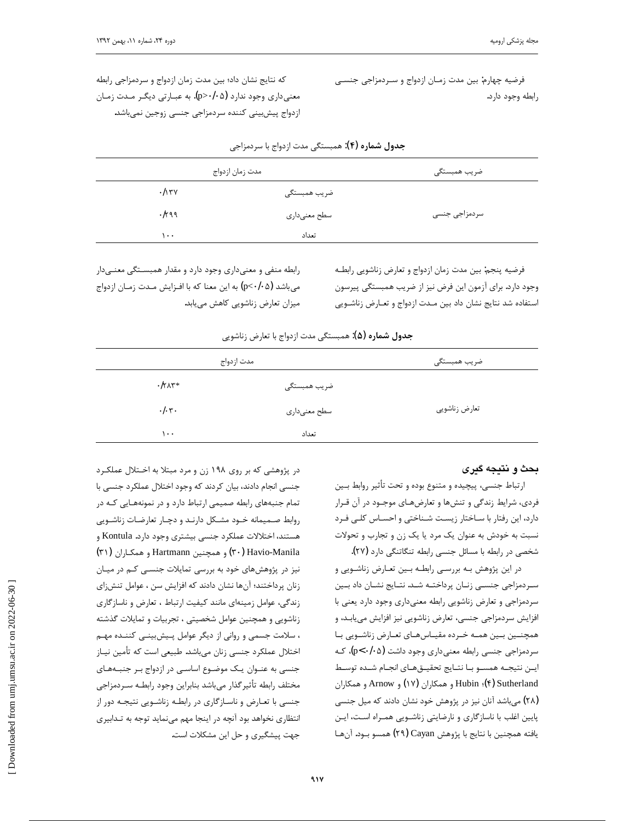فرضيه چهارم: بين مدت زمـان ازدواج و سـردمزاجي جنسـي رابطه وجود دارد.

كه نتايج نشان داد؛ بين مدت زمان ازدواج و سردمزاجي رابطه معنیداری وجود ندارد (p>۰/۰۵). به عبـارتی دیگـر مـدت زمـان ازدواج پیشبینی کننده سردمزاجی جنسی زوجین نمیباشد.

|              | مدت زمان ازدواج | ضريب همبستگي  |
|--------------|-----------------|---------------|
| $\cdot$ /۱۳۷ | ضريب همبستگى    |               |
| .1199        | سطح معنىدارى    | سردمزاجى جنسى |
| .            | تعداد           |               |

ج**دول شماره (۴)**: همبستگی مدت ازدواج با سردمزاجی

 $\overline{a}$ 

فرضيه ينجم: بين مدت زمان ازدواج و تعارض زناشويي رابطـه وجود دارد. برای آزمون این فرض نیز از ضریب همبستگی پیرسون استفاده شد نتايج نشان داد بين مـدت ازدواج و تعـارض زناشـويي

رابطه منفی و معنیداری وجود دارد و مقدار همبستگی معنے دار میباشد (p<٠/٠۵) به این معنا که با افـزایش مـدت زمـان ازدواج میزان تعارض زناشویی کاهش مییابد.

| مدت ازدواج                                 |              | ضريب همبستگى  |  |  |
|--------------------------------------------|--------------|---------------|--|--|
| $\cdot$ / $\uparrow$ $\uparrow$ $\uparrow$ | ضريب همبستگى |               |  |  |
| $\cdot/\cdot$ .                            | سطح معنىدارى | تعارض زناشويي |  |  |
| ۰۰۱                                        | تعداد        |               |  |  |

## ج**دول شماره (۵):** همبستگی مدت ازدواج با تعارض زناشویی

### **بحث و نتيجه گيري**

ارتباط جنسي، پيچيده و متنوع بوده و تحت تأثير روابط بـين فردي، شرايط زندگي و تنشها و تعارضهـاي موجـود در آن قـرار ذارد، این رفتار با ساختار زیست شناختی و احساس کلی فرد نسبت به خودش به عنوان یک مرد یا یک زن و تجارب و تحولات شخصی در رابطه با مسائل جنسی رابطه تنگاتنگی دارد (٢٧).

در این پژوهش بـه بررسـی رابطـه بـین تعـارض زناشـویی و سردمزاجی جنسـی زنـان پرداختـه شـد. نتـایج نشـان داد بــین سردمزاجي و تعارض زناشويي رابطه معنىداري وجود دارد يعني با افزایش سردمزاجی جنسی، تعارض زناشویی نیز افزایش می یابد، و همچنین بین همه خرده مقیاس های تعارض زناشویی با سردمزاجی جنسی رابطه معنیداری وجود داشت (p<۰/۰۵)، ک ايـن نتيجـه همسـو بـا نتـايج تحقيـقهـاي انجـام شـده توسـط ƱřŹŚĪưƷƹ Arnow ƹ (ÎÔ) ƱřŹŚĪưƷƹ Hubin(Ñ) Sutherland (۲۸) میباشد آنان نیز در پژوهش خود نشان دادند که میل جنسی پایین اغلب با ناسازگاری و نارضایتی زناشویی همراه است، ایـن يافته همچنين با نتايج با پژوهش Cayan (٢٩) همسو بـود. آنهـا

در پژوهشی که بر روی ۱۹۸ زن و مرد مبتلا به اخـتلال عملکـرد جنسی انجام دادند، بیان کردند که وجود اختلال عملکرد جنسی با تمام جنبههای رابطه صمیمی ارتباط دارد و در نمونههـایی کـه در روابط صـميمانه خـود مشـكل دارنـد و دچـار تعارضـات زناشـويي هستند، اختلالات عملكرد جنسي بيشتري وجود دارد. Kontula و (ÐÎ ) ƱřŹŚºĪưƷƹ Hartmann ƲǀƴĤưƷƹ (ÐÍ) Havio-Manila نیز در پژوهشهای خود به بررسی تمایلات جنسـی کـم در میـان زنان پرداختند؛ آنها نشان دادند که افزایش سن ، عوامل تنشزای زندگی، عوامل زمینهای مانند کیفیت ارتباط ، تعارض و ناسازگاری زناشویی و همچنین عوامل شخصیتی ، تجربیات و تمایلات گذشته ، سلامت جسمی و روانی از دیگر عوامل پیشبینی کننـده مهـم اختلال عملكرد جنسي زنان ميباشد. طبيعي است كه تأمين نيـاز جنسی به عنـوان یـک موضـوع اساسـی در ازدواج بـر جنبـههـای مختلف رابطه تأثير گذار مي باشد بنابراين وجود رابطـه سـردمزاجي جنسی با تعـارض و ناسـازگاری در رابطـه زناشـویی نتیجـه دور از انتظاري نخواهد بود آنچه در اينجا مهم مينمايد توجه به تـدابيري جهت پیشگیری و حل این مشکلات است.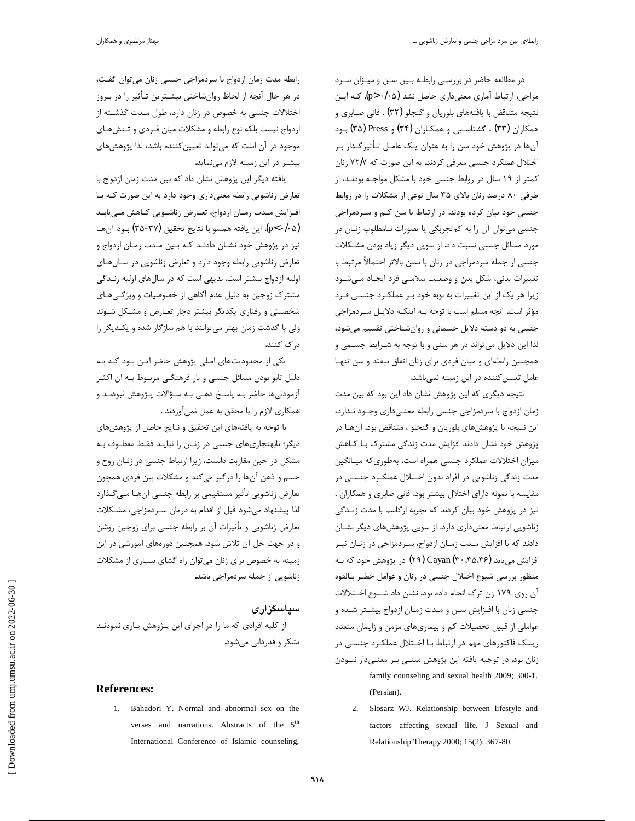در مطالعه حاضر در بررسي رابطـه بـين سـن و ميـزان سـرد مزاجی، ارتباط آماری معنی داری حاصل نشد (p>۰/۰۵). کـه ایـن نتيجه متناقض با يافتههاي بلوريان و گنجلو (٣٢) ، فاني صـابري و همکاران (۳۳) ، گشتاسبی و همکاران (۳۴) و Press (۳۵) بود آنها در پژوهش خود سن را به عنوان یک عامـل تـأثیرگـذار بـر اختلال عملکرد جنسی معرفی کردند. به این صورت که ۷۲/۷ زنان کمتر از ۱۹ سال در روابط جنسی خود با مشکل مواجـه بودنـد، از طرفی ۸۰ درصد زنان بالای ۳۵ سال نوعی از مشکلات را در روابط جنسی خود بیان کرده بودند. در ارتباط با سن کـم و سـردمزاجی جنسي مي توان آن را به كم تجربگي يا تصورات نـامطلوب زنـان در مورد مسائل جنسی نسبت داد. از سویی دیگر زیاد بودن مشکلات جنسی از جمله سردمزاجی در زنان با سنن بالاتر احتمالاً مرتبط با تغییرات بدنی، شکل بدن و وضعیت سلامتی فرد ایجـاد مـیشـود زیرا هر یک از این تغییرات به نوبه خود بـر عملکـرد جنسـی فـرد مؤثر است. آنچه مسلم است با توجه بـه اینکـه دلایـل سـردمزاجی جنسی به دو دسته دلایل جسمانی و روانشناختی تقسیم می شود، لذا این دلایل می تواند در هر سنی و با توجه به شـرایط جسـمی و همچنین رابطهای و میان فردی برای زنان اتفاق بیفتد و سن تنهـا عامل تعیین کننده در این زمینه نمیباشد.

نتیجه دیگری که این پژوهش نشان داد این بود که بین مدت زمان ازدواج با سردمزاجي جنسي رابطه معنـيداري وجـود نـدارد، این نتیجه با پژوهشهای بلوریان و گنجلو ، متناقض بود. آنهـا در پژوهش خود نشان دادند افزایش مدت زندگی مشترک بـا کـاهش میزان اختلالات عملکرد جنسی همراه است، بهطوری که میـانگین مدت زندگی زناشویی در افراد بدون اخـتلال عملکـرد جنســی در مقايسه با نمونه داراي اختلال بيشتر بود. فاني صابري و همكاران ، نیز در پژوهش خود بیان کردند که تجربه ارگاسم با مدت زنـدگی زناشویی ارتباط معنیداری دارد. از سویی پژوهشهای دیگر نشـان دادند که با افزایش مـدت زمـان ازدواج، سـردمزاجی در زنـان نیـز افزایش می یابد Cayan (۲۰،۳۵،۳۶) افزایش می یابد (۲۹) Cayan (۳۰،۳۵،۳۶ منظور بررسی شیوع اختلال جنسی در زنان و عوامل خطـر بـالقوه آن روی ۱۷۹ زن ترک انجام داده بود، نشان داد شـيوع اخـتلالات جنسی زنان با افـزایش سـن و مـدت زمـان ازدواج بیشـتر شـده و عواملي از قبيل تحصيلات كم و بيماريهاي مزمن و زايمان متعدد ریسک فاکتورهای مهم در ارتباط بـا اخـتلال عملکـرد جنسـی در زنان بود. در توجیه یافته این پژوهش مبنــی بـر معنــیدار نبــودن family counseling and sexual health 2009; 300-1. (Persian).

2. Slosarz WJ. Relationship between lifestyle and factors affecting sexual life. J Sexual and Relationship Therapy 2000; 15(2): 367-80.

رابطه مدت زمان ازدواج با سردمزاجي جنسي زنان ميتوان گفت، در هر حال آنچه از لحاظ روانشاختی بیشـترین تـأثیر را در بـروز اختلالات جنسی به خصوص در زنان دارد، طول مـدت گذشـته از ازدواج نیست بلکه نوع رابطه و مشکلات میان فـردی و تـنشهـای موجود در آن است که میتواند تعیین کننده باشد، لذا پژوهشهای بیشتر در این زمینه لازم مے نماید.

یافته دیگر این پژوهش نشان داد که بین مدت زمان ازدواج با تعارض زناشويي رابطه معنىداري وجود دارد به اين صورت كـه بـا افزايش مـدت زمـان ازدواج، تعـارض زناشـويي كـاهش مـىيابـد (φ<٠/۰۵). این یافته همسو با نتایج تحقیق (۳۷-۳۵) بود آن ها نیز در پژوهش خود نشان دادنـد کـه بـین مـدت زمـان ازدواج و تعارض زناشويي رابطه وجود دارد و تعارض زناشويي در سـالهـاي اوليه ازدواج بيشتر است. بديهي است كه در سالهاي اوليه زنـدگي مشترک زوجین به دلیل عدم آگاهی از خصوصیات و ویژگیهای شخصیتی و رفتاری یکدیگر بیشتر دچار تعـارض و مشـکل شـوند ولی با گذشت زمان بهتر می توانند با هم سازگار شده و یک یگر را د, ک کنند.

یکی از محدودیتهای اصلی پژوهش حاضر ایـن بـود کـه بـه دلیل تابو بودن مسائل جنسی و بار فرهنگـی مربـوط بـه آن اکثـر آزمودنیها حاضر بـه یاسـخ دهـی بـه سـؤالات پـژوهش نبودنـد و همكاري لازم را با محقق به عمل نمي آوردند .

با توجه به يافتههاى اين تحقيق و نتايج حاصل از پژوهشهاى دیگر؛ نابهنجاریهای جنسی در زنـان را نبایـد فقـط معطـوف بـه مشکل در حین مقاربت دانست، زیرا ارتباط جنسی در زنبان روح و جسم و ذهن آنها را درگیر میکند و مشکلات بین فردی همچون تعارض زناشویی تأثیر مستقیمی بر رابطه جنسی آنهـا مـی٤کـذارد لذا ييشنهاد مي شود قبل از اقدام به درمان سـردمزاجي، مشـكلات تعارض زناشویی و تأثیرات آن بر رابطه جنسی برای زوجین روشن و در جهت حل آن تلاش شود. همچنین دورههای آموزشی در این زمینه به خصوص برای زنان می توان راه گشای بسیاری از مشکلات زناشویی از جمله سردمزاجی باشد.

## **سیاسگزاری**

از کلیه افرادی که ما را در اجرای این پـژوهش یـاری نمودنـد تشکر و قدردانی میشود.

#### **References:**

1. Bahadori Y. Normal and abnormal sex on the verses and narrations. Abstracts of the 5<sup>th</sup> International Conference of Islamic counseling,

 [\[ Downloaded from umj.umsu.ac.ir on 202](http://umj.umsu.ac.ir/article-1-2021-fa.html)2-06-30 ] Downloaded from umj.umsu.ac.ir on 2022-06-30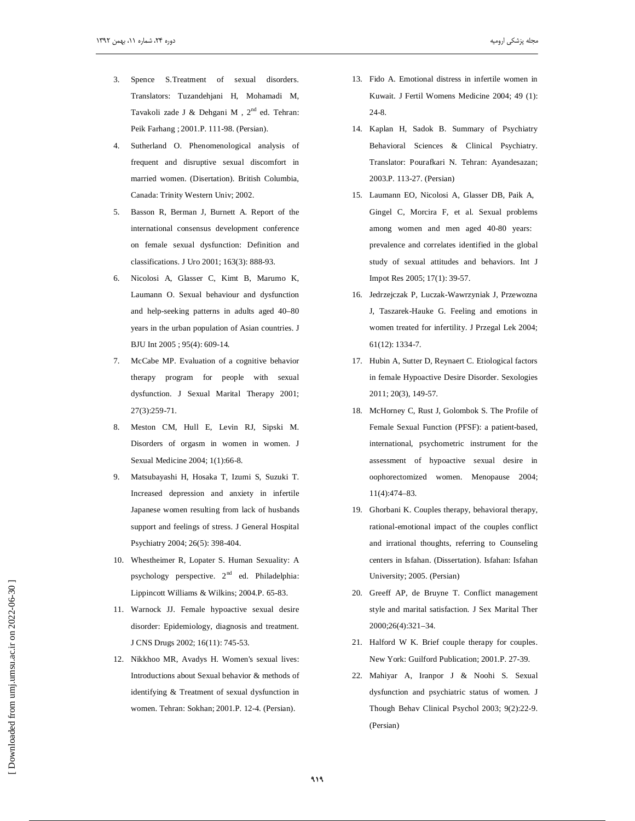3. Spence S.Treatment of sexual disorders. Translators: Tuzandehjani H, Mohamadi M, Tavakoli zade J & Dehgani M,  $2<sup>nd</sup>$  ed. Tehran: Peik Farhang ; 2001.P. 111-98. (Persian).

 $\overline{a}$ 

- 4. Sutherland O. Phenomenological analysis of frequent and disruptive sexual discomfort in married women. (Disertation). British Columbia, Canada: Trinity Western Univ; 2002.
- 5. Basson R, Berman J, Burnett A. Report of the international consensus development conference on female sexual dysfunction: Definition and classifications. J Uro 2001; 163(3): 888-93.
- 6. Nicolosi A, Glasser C, Kimt B, Marumo K, Laumann O. Sexual behaviour and dysfunction and help-seeking patterns in adults aged 40–80 years in the urban population of Asian countries. J BJU Int 2005 ; 95(4): 609-14.
- 7. McCabe MP. Evaluation of a cognitive behavior therapy program for people with sexual dysfunction. J Sexual Marital Therapy 2001; 27(3):259-71.
- 8. Meston CM, Hull E, Levin RJ, Sipski M. Disorders of orgasm in women in women. J Sexual Medicine 2004; 1(1):66-8.
- 9. Matsubayashi H, Hosaka T, Izumi S, Suzuki T. Increased depression and anxiety in infertile Japanese women resulting from lack of husbands support and feelings of stress. J General Hospital Psychiatry 2004; 26(5): 398-404.
- 10. Whestheimer R, Lopater S. Human Sexuality: A psychology perspective. 2<sup>nd</sup> ed. Philadelphia: Lippincott Williams & Wilkins; 2004.P. 65-83.
- 11. Warnock JJ. Female hypoactive sexual desire disorder: Epidemiology, diagnosis and treatment. J CNS Drugs 2002; 16(11): 745-53.
- 12. Nikkhoo MR, Avadys H. Women's sexual lives: Introductions about Sexual behavior & methods of identifying & Treatment of sexual dysfunction in women. Tehran: Sokhan; 2001.P. 12-4. (Persian).
- 13. Fido A. Emotional distress in infertile women in Kuwait. J Fertil Womens Medicine 2004; 49 (1): 24-8.
- 14. Kaplan H, Sadok B. Summary of Psychiatry Behavioral Sciences & Clinical Psychiatry. Translator: Pourafkari N. Tehran: Ayandesazan; 2003.P. 113-27. (Persian)
- 15. Laumann EO, Nicolosi A, Glasser DB, Paik A, Gingel C, Morcira F, et al. Sexual problems among women and men aged 40-80 years: prevalence and correlates identified in the global study of sexual attitudes and behaviors. Int J Impot Res 2005; 17(1): 39-57.
- 16. Jedrzejczak P, Luczak-Wawrzyniak J, Przewozna J, Taszarek-Hauke G. Feeling and emotions in women treated for infertility. J Przegal Lek 2004; 61(12): 1334-7.
- 17. Hubin A, Sutter D, Reynaert C. Etiological factors in female Hypoactive Desire Disorder. Sexologies 2011; 20(3), 149-57.
- 18. McHorney C, Rust J, Golombok S. The Profile of Female Sexual Function (PFSF): a patient-based, international, psychometric instrument for the assessment of hypoactive sexual desire in oophorectomized women. Menopause 2004; 11(4):474–83.
- 19. Ghorbani K. Couples therapy, behavioral therapy, rational-emotional impact of the couples conflict and irrational thoughts, referring to Counseling centers in Isfahan. (Dissertation). Isfahan: Isfahan University; 2005. (Persian)
- 20. Greeff AP, de Bruyne T. Conflict management style and marital satisfaction. J Sex Marital Ther 2000;26(4):321–34.
- 21. Halford W K. Brief couple therapy for couples. New York: Guilford Publication; 2001.P. 27-39.
- 22. Mahiyar A, Iranpor J & Noohi S. Sexual dysfunction and psychiatric status of women. J Though Behav Clinical Psychol 2003; 9(2):22-9. (Persian)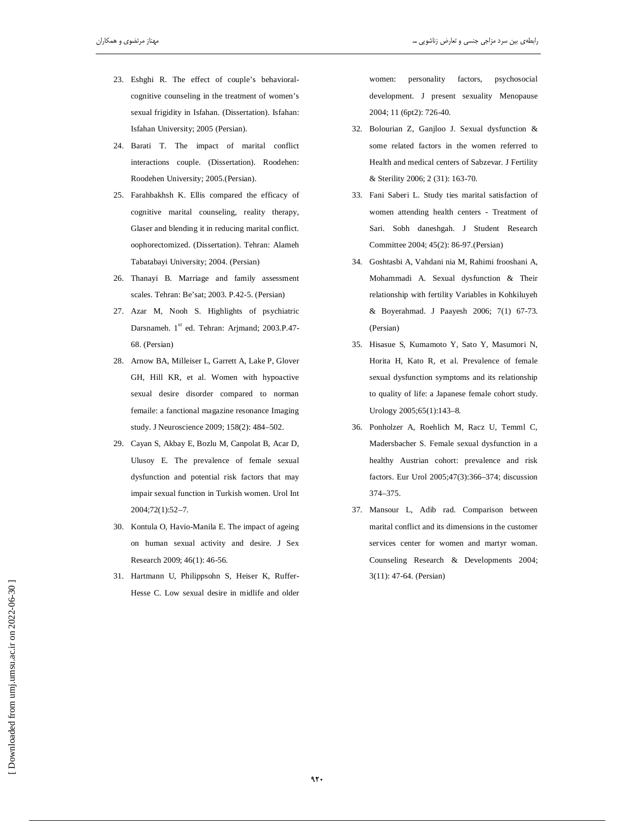- 23. Eshghi R. The effect of couple's behavioralcognitive counseling in the treatment of women's sexual frigidity in Isfahan. (Dissertation). Isfahan: Isfahan University; 2005 (Persian).
- 24. Barati T. The impact of marital conflict interactions couple. (Dissertation). Roodehen: Roodehen University; 2005.(Persian).
- 25. Farahbakhsh K. Ellis compared the efficacy of cognitive marital counseling, reality therapy, Glaser and blending it in reducing marital conflict. oophorectomized. (Dissertation). Tehran: Alameh Tabatabayi University; 2004. (Persian)
- 26. Thanayi B. Marriage and family assessment scales. Tehran: Be'sat; 2003. P.42-5. (Persian)
- 27. Azar M, Nooh S. Highlights of psychiatric Darsnameh. 1<sup>st</sup> ed. Tehran: Arjmand; 2003.P.47-68. (Persian)
- 28. Arnow BA, Milleiser L, Garrett A, Lake P, Glover GH, Hill KR, et al. Women with hypoactive sexual desire disorder compared to norman femaile: a fanctional magazine resonance Imaging study. J Neuroscience 2009; 158(2): 484–502.
- 29. Cayan S, Akbay E, Bozlu M, Canpolat B, Acar D, Ulusoy E. The prevalence of female sexual dysfunction and potential risk factors that may impair sexual function in Turkish women. Urol Int 2004;72(1):52–7.
- 30. Kontula O, Havio-Manila E. The impact of ageing on human sexual activity and desire. J Sex Research 2009; 46(1): 46-56.
- 31. Hartmann U, Philippsohn S, Heiser K, Ruffer-Hesse C. Low sexual desire in midlife and older

women: personality factors, psychosocial development. J present sexuality Menopause 2004; 11 (6pt2): 726-40.

- 32. Bolourian Z, Ganjloo J. Sexual dysfunction & some related factors in the women referred to Health and medical centers of Sabzevar. J Fertility & Sterility 2006; 2 (31): 163-70.
- 33. Fani Saberi L. Study ties marital satisfaction of women attending health centers - Treatment of Sari. Sobh daneshgah. J Student Research Committee 2004; 45(2): 86-97.(Persian)
- 34. Goshtasbi A, Vahdani nia M, Rahimi frooshani A, Mohammadi A. Sexual dysfunction & Their relationship with fertility Variables in Kohkiluyeh & Boyerahmad. J Paayesh 2006; 7(1) 67-73. (Persian)
- 35. Hisasue S, Kumamoto Y, Sato Y, Masumori N, Horita H, Kato R, et al. Prevalence of female sexual dysfunction symptoms and its relationship to quality of life: a Japanese female cohort study. Urology 2005;65(1):143–8.
- 36. Ponholzer A, Roehlich M, Racz U, Temml C, Madersbacher S. Female sexual dysfunction in a healthy Austrian cohort: prevalence and risk factors. Eur Urol 2005;47(3):366–374; discussion 374–375.
- 37. Mansour L, Adib rad. Comparison between marital conflict and its dimensions in the customer services center for women and martyr woman. Counseling Research & Developments 2004; 3(11): 47-64. (Persian)